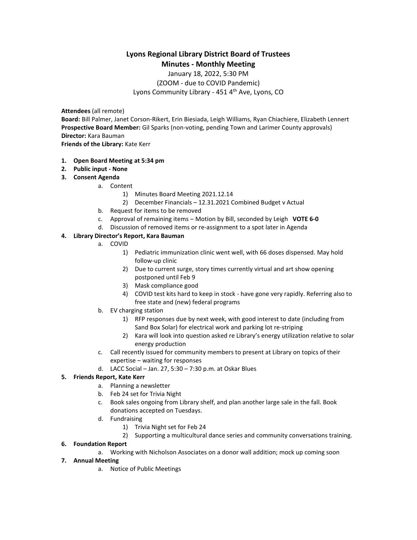# **Lyons Regional Library District Board of Trustees Minutes - Monthly Meeting**

January 18, 2022, 5:30 PM (ZOOM - due to COVID Pandemic) Lyons Community Library - 451 4<sup>th</sup> Ave, Lyons, CO

**Attendees** (all remote)

**Board:** Bill Palmer, Janet Corson-Rikert, Erin Biesiada, Leigh Williams, Ryan Chiachiere, Elizabeth Lennert **Prospective Board Member:** Gil Sparks (non-voting, pending Town and Larimer County approvals) **Director:** Kara Bauman **Friends of the Library:** Kate Kerr

- **1. Open Board Meeting at 5:34 pm**
- **2. Public input - None**
- **3. Consent Agenda**
	- a. Content
		- 1) Minutes Board Meeting 2021.12.14
		- 2) December Financials 12.31.2021 Combined Budget v Actual
	- b. Request for items to be removed
	- c. Approval of remaining items Motion by Bill, seconded by Leigh **VOTE 6-0**
	- d. Discussion of removed items or re-assignment to a spot later in Agenda

#### **4. Library Director's Report, Kara Bauman**

- a. COVID
	- 1) Pediatric immunization clinic went well, with 66 doses dispensed. May hold follow-up clinic
	- 2) Due to current surge, story times currently virtual and art show opening postponed until Feb 9
	- 3) Mask compliance good
	- 4) COVID test kits hard to keep in stock have gone very rapidly. Referring also to free state and (new) federal programs
- b. EV charging station
	- 1) RFP responses due by next week, with good interest to date (including from Sand Box Solar) for electrical work and parking lot re-striping
	- 2) Kara will look into question asked re Library's energy utilization relative to solar energy production
- c. Call recently issued for community members to present at Library on topics of their expertise – waiting for responses
- d. LACC Social Jan. 27, 5:30 7:30 p.m. at Oskar Blues

#### **5. Friends Report, Kate Kerr**

- a. Planning a newsletter
- b. Feb 24 set for Trivia Night
- c. Book sales ongoing from Library shelf, and plan another large sale in the fall. Book donations accepted on Tuesdays.
- d. Fundraising
	- 1) Trivia Night set for Feb 24
	- 2) Supporting a multicultural dance series and community conversations training.

#### **6. Foundation Report**

a. Working with Nicholson Associates on a donor wall addition; mock up coming soon

### **7. Annual Meeting**

a. Notice of Public Meetings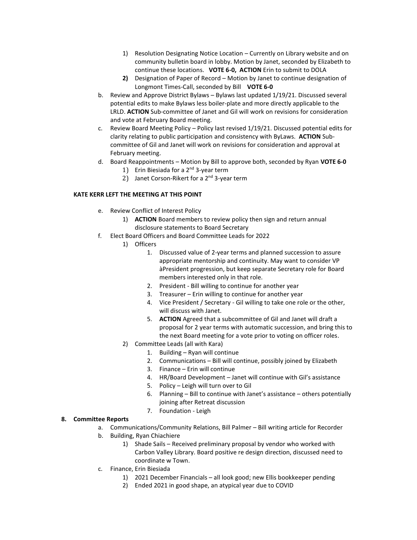- 1) Resolution Designating Notice Location Currently on Library website and on community bulletin board in lobby. Motion by Janet, seconded by Elizabeth to continue these locations. **VOTE 6-0, ACTION** Erin to submit to DOLA
- **2)** Designation of Paper of Record Motion by Janet to continue designation of Longmont Times-Call, seconded by Bill **VOTE 6-0**
- b. Review and Approve District Bylaws Bylaws last updated 1/19/21. Discussed several potential edits to make Bylaws less boiler-plate and more directly applicable to the LRLD. **ACTION** Sub-committee of Janet and Gil will work on revisions for consideration and vote at February Board meeting.
- c. Review Board Meeting Policy Policy last revised 1/19/21. Discussed potential edits for clarity relating to public participation and consistency with ByLaws. **ACTION** Subcommittee of Gil and Janet will work on revisions for consideration and approval at February meeting.
- d. Board Reappointments Motion by Bill to approve both, seconded by Ryan **VOTE 6-0**
	- 1) Erin Biesiada for a  $2^{nd}$  3-year term
	- 2) Janet Corson-Rikert for a 2<sup>nd</sup> 3-year term

#### **KATE KERR LEFT THE MEETING AT THIS POINT**

- e. Review Conflict of Interest Policy
	- 1) **ACTION** Board members to review policy then sign and return annual disclosure statements to Board Secretary
- f. Elect Board Officers and Board Committee Leads for 2022
	- 1) Officers
		- 1. Discussed value of 2-year terms and planned succession to assure appropriate mentorship and continuity. May want to consider VP àPresident progression, but keep separate Secretary role for Board members interested only in that role.
		- 2. President Bill willing to continue for another year
		- 3. Treasurer Erin willing to continue for another year
		- 4. Vice President / Secretary Gil willing to take one role or the other, will discuss with Janet.
		- 5. **ACTION** Agreed that a subcommittee of Gil and Janet will draft a proposal for 2 year terms with automatic succession, and bring this to the next Board meeting for a vote prior to voting on officer roles.
		- 2) Committee Leads (all with Kara)
			- 1. Building Ryan will continue
			- 2. Communications Bill will continue, possibly joined by Elizabeth
			- 3. Finance Erin will continue
			- 4. HR/Board Development Janet will continue with Gil's assistance
			- 5. Policy Leigh will turn over to Gil
			- 6. Planning Bill to continue with Janet's assistance others potentially joining after Retreat discussion
			- 7. Foundation Leigh

#### **8. Committee Reports**

- a. Communications/Community Relations, Bill Palmer Bill writing article for Recorder
- b. Building, Ryan Chiachiere
	- 1) Shade Sails Received preliminary proposal by vendor who worked with Carbon Valley Library. Board positive re design direction, discussed need to coordinate w Town.
- c. Finance, Erin Biesiada
	- 1) 2021 December Financials all look good; new Ellis bookkeeper pending
	- 2) Ended 2021 in good shape, an atypical year due to COVID